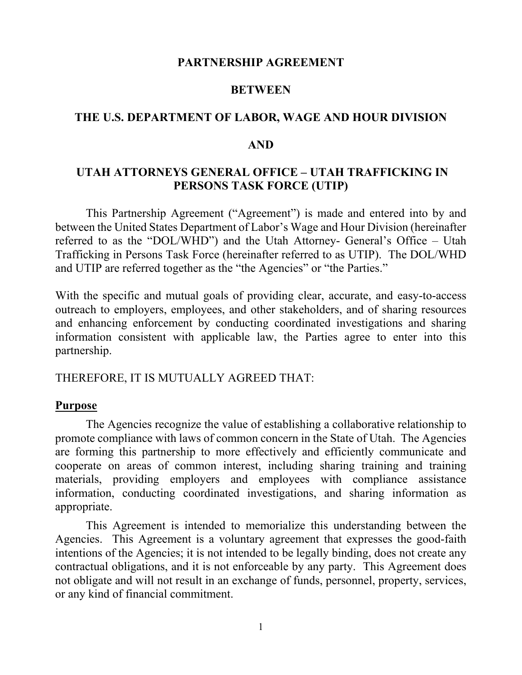#### **PARTNERSHIP AGREEMENT**

#### **BETWEEN**

#### **THE U.S. DEPARTMENT OF LABOR, WAGE AND HOUR DIVISION**

#### **AND**

### **UTAH ATTORNEYS GENERAL OFFICE – UTAH TRAFFICKING IN PERSONS TASK FORCE (UTIP)**

This Partnership Agreement ("Agreement") is made and entered into by and between the United States Department of Labor's Wage and Hour Division (hereinafter referred to as the "DOL/WHD") and the Utah Attorney- General's Office – Utah Trafficking in Persons Task Force (hereinafter referred to as UTIP). The DOL/WHD and UTIP are referred together as the "the Agencies" or "the Parties."

With the specific and mutual goals of providing clear, accurate, and easy-to-access outreach to employers, employees, and other stakeholders, and of sharing resources and enhancing enforcement by conducting coordinated investigations and sharing information consistent with applicable law, the Parties agree to enter into this partnership.

#### THEREFORE, IT IS MUTUALLY AGREED THAT:

## **Purpose**

The Agencies recognize the value of establishing a collaborative relationship to promote compliance with laws of common concern in the State of Utah. The Agencies are forming this partnership to more effectively and efficiently communicate and cooperate on areas of common interest, including sharing training and training materials, providing employers and employees with compliance assistance information, conducting coordinated investigations, and sharing information as appropriate.

This Agreement is intended to memorialize this understanding between the Agencies. This Agreement is a voluntary agreement that expresses the good-faith intentions of the Agencies; it is not intended to be legally binding, does not create any contractual obligations, and it is not enforceable by any party. This Agreement does not obligate and will not result in an exchange of funds, personnel, property, services, or any kind of financial commitment.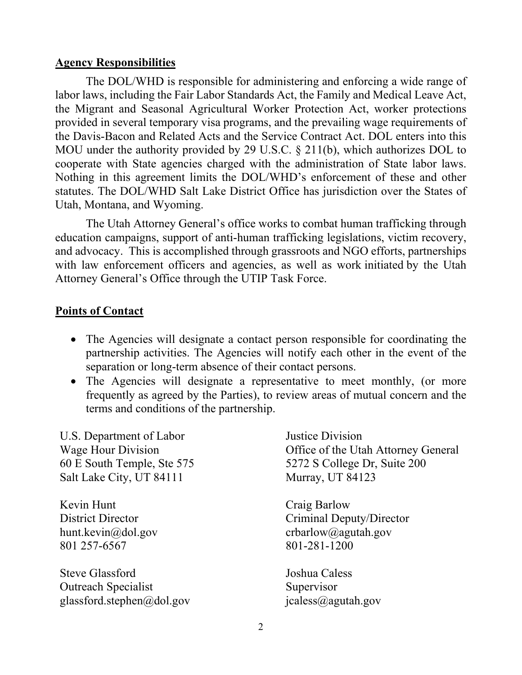#### **Agency Responsibilities**

The DOL/WHD is responsible for administering and enforcing a wide range of labor laws, including the Fair Labor Standards Act, the Family and Medical Leave Act, the Migrant and Seasonal Agricultural Worker Protection Act, worker protections provided in several temporary visa programs, and the prevailing wage requirements of the Davis-Bacon and Related Acts and the Service Contract Act. DOL enters into this MOU under the authority provided by 29 U.S.C. § 211(b), which authorizes DOL to cooperate with State agencies charged with the administration of State labor laws. Nothing in this agreement limits the DOL/WHD's enforcement of these and other statutes. The DOL/WHD Salt Lake District Office has jurisdiction over the States of Utah, Montana, and Wyoming.

The Utah Attorney General's office works to combat human trafficking through education campaigns, support of anti-human trafficking legislations, victim recovery, and advocacy. This is accomplished through grassroots and NGO efforts, partnerships with law enforcement officers and agencies, as well as work initiated by the Utah Attorney General's Office through the UTIP Task Force.

#### **Points of Contact**

- The Agencies will designate a contact person responsible for coordinating the partnership activities. The Agencies will notify each other in the event of the separation or long-term absence of their contact persons.
- The Agencies will designate a representative to meet monthly, (or more frequently as agreed by the Parties), to review areas of mutual concern and the terms and conditions of the partnership.

U.S. Department of Labor Wage Hour Division 60 E South Temple, Ste 575 Salt Lake City, UT 84111

Kevin Hunt District Director hunt.kevin@dol.gov 801 257-6567

Steve Glassford Outreach Specialist glassford.stephen@dol.gov jcaless@agutah.gov

Justice Division Office of the Utah Attorney General 5272 S College Dr, Suite 200 Murray, UT 84123

Craig Barlow Criminal Deputy/Director crbarlow@agutah.gov 801-281-1200

Joshua Caless Supervisor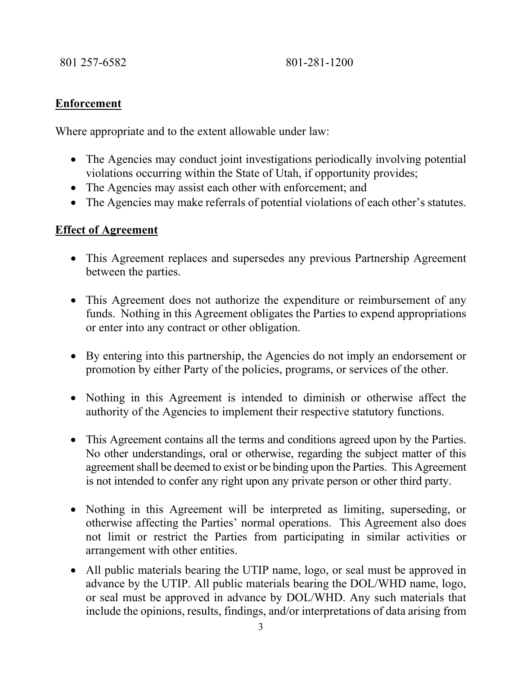801 257-6582 801-281-1200

## **Enforcement**

Where appropriate and to the extent allowable under law:

- The Agencies may conduct joint investigations periodically involving potential violations occurring within the State of Utah, if opportunity provides;
- The Agencies may assist each other with enforcement; and
- The Agencies may make referrals of potential violations of each other's statutes.

## **Effect of Agreement**

- This Agreement replaces and supersedes any previous Partnership Agreement between the parties.
- This Agreement does not authorize the expenditure or reimbursement of any funds. Nothing in this Agreement obligates the Parties to expend appropriations or enter into any contract or other obligation.
- By entering into this partnership, the Agencies do not imply an endorsement or promotion by either Party of the policies, programs, or services of the other.
- Nothing in this Agreement is intended to diminish or otherwise affect the authority of the Agencies to implement their respective statutory functions.
- This Agreement contains all the terms and conditions agreed upon by the Parties. No other understandings, oral or otherwise, regarding the subject matter of this agreement shall be deemed to exist or be binding upon the Parties. This Agreement is not intended to confer any right upon any private person or other third party.
- Nothing in this Agreement will be interpreted as limiting, superseding, or otherwise affecting the Parties' normal operations. This Agreement also does not limit or restrict the Parties from participating in similar activities or arrangement with other entities.
- All public materials bearing the UTIP name, logo, or seal must be approved in advance by the UTIP. All public materials bearing the DOL/WHD name, logo, or seal must be approved in advance by DOL/WHD. Any such materials that include the opinions, results, findings, and/or interpretations of data arising from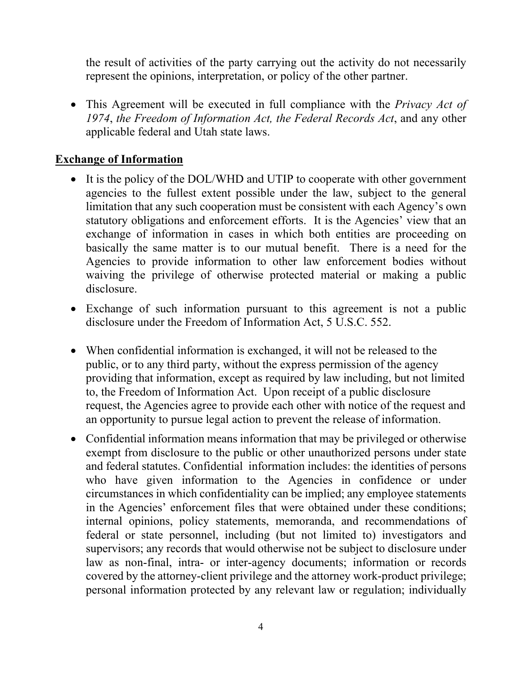the result of activities of the party carrying out the activity do not necessarily represent the opinions, interpretation, or policy of the other partner.

• This Agreement will be executed in full compliance with the *Privacy Act of 1974*, *the Freedom of Information Act, the Federal Records Act*, and any other applicable federal and Utah state laws.

## **Exchange of Information**

- It is the policy of the DOL/WHD and UTIP to cooperate with other government agencies to the fullest extent possible under the law, subject to the general limitation that any such cooperation must be consistent with each Agency's own statutory obligations and enforcement efforts. It is the Agencies' view that an exchange of information in cases in which both entities are proceeding on basically the same matter is to our mutual benefit. There is a need for the Agencies to provide information to other law enforcement bodies without waiving the privilege of otherwise protected material or making a public disclosure.
- Exchange of such information pursuant to this agreement is not a public disclosure under the Freedom of Information Act, 5 U.S.C. 552.
- When confidential information is exchanged, it will not be released to the public, or to any third party, without the express permission of the agency providing that information, except as required by law including, but not limited to, the Freedom of Information Act. Upon receipt of a public disclosure request, the Agencies agree to provide each other with notice of the request and an opportunity to pursue legal action to prevent the release of information.
- Confidential information means information that may be privileged or otherwise exempt from disclosure to the public or other unauthorized persons under state and federal statutes. Confidential information includes: the identities of persons who have given information to the Agencies in confidence or under circumstances in which confidentiality can be implied; any employee statements in the Agencies' enforcement files that were obtained under these conditions; internal opinions, policy statements, memoranda, and recommendations of federal or state personnel, including (but not limited to) investigators and supervisors; any records that would otherwise not be subject to disclosure under law as non-final, intra- or inter-agency documents; information or records covered by the attorney-client privilege and the attorney work-product privilege; personal information protected by any relevant law or regulation; individually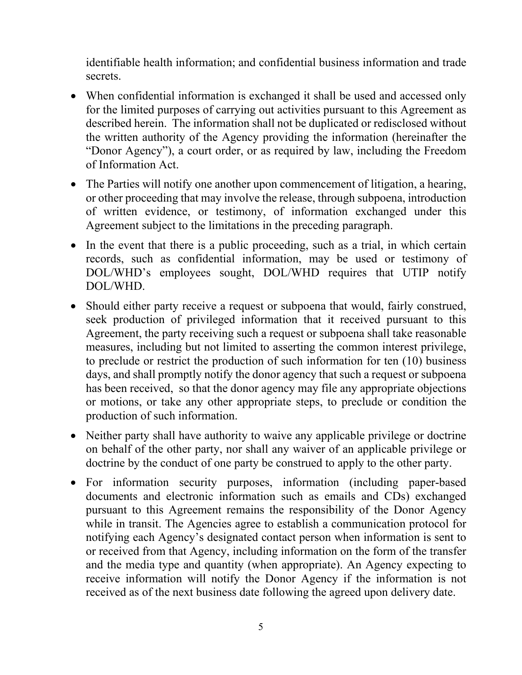identifiable health information; and confidential business information and trade secrets.

- When confidential information is exchanged it shall be used and accessed only for the limited purposes of carrying out activities pursuant to this Agreement as described herein. The information shall not be duplicated or redisclosed without the written authority of the Agency providing the information (hereinafter the "Donor Agency"), a court order, or as required by law, including the Freedom of Information Act.
- The Parties will notify one another upon commencement of litigation, a hearing, or other proceeding that may involve the release, through subpoena, introduction of written evidence, or testimony, of information exchanged under this Agreement subject to the limitations in the preceding paragraph.
- In the event that there is a public proceeding, such as a trial, in which certain records, such as confidential information, may be used or testimony of DOL/WHD's employees sought, DOL/WHD requires that UTIP notify DOL/WHD.
- Should either party receive a request or subpoena that would, fairly construed, seek production of privileged information that it received pursuant to this Agreement, the party receiving such a request or subpoena shall take reasonable measures, including but not limited to asserting the common interest privilege, to preclude or restrict the production of such information for ten (10) business days, and shall promptly notify the donor agency that such a request or subpoena has been received, so that the donor agency may file any appropriate objections or motions, or take any other appropriate steps, to preclude or condition the production of such information.
- Neither party shall have authority to waive any applicable privilege or doctrine on behalf of the other party, nor shall any waiver of an applicable privilege or doctrine by the conduct of one party be construed to apply to the other party.
- For information security purposes, information (including paper-based documents and electronic information such as emails and CDs) exchanged pursuant to this Agreement remains the responsibility of the Donor Agency while in transit. The Agencies agree to establish a communication protocol for notifying each Agency's designated contact person when information is sent to or received from that Agency, including information on the form of the transfer and the media type and quantity (when appropriate). An Agency expecting to receive information will notify the Donor Agency if the information is not received as of the next business date following the agreed upon delivery date.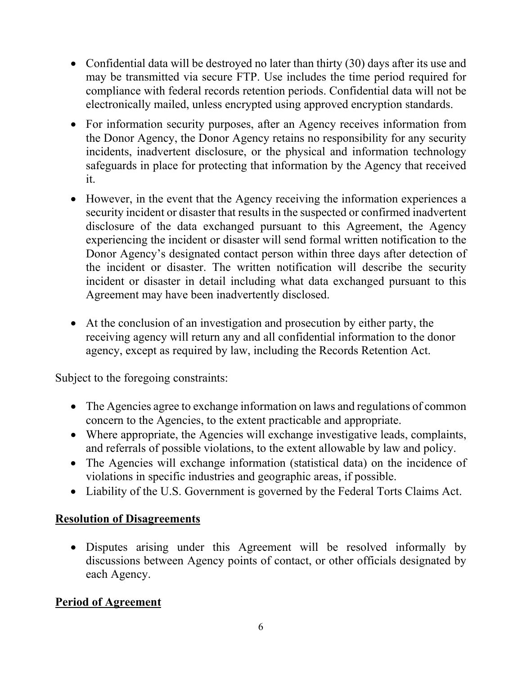- Confidential data will be destroyed no later than thirty (30) days after its use and may be transmitted via secure FTP. Use includes the time period required for compliance with federal records retention periods. Confidential data will not be electronically mailed, unless encrypted using approved encryption standards.
- For information security purposes, after an Agency receives information from the Donor Agency, the Donor Agency retains no responsibility for any security incidents, inadvertent disclosure, or the physical and information technology safeguards in place for protecting that information by the Agency that received it.
- However, in the event that the Agency receiving the information experiences a security incident or disaster that results in the suspected or confirmed inadvertent disclosure of the data exchanged pursuant to this Agreement, the Agency experiencing the incident or disaster will send formal written notification to the Donor Agency's designated contact person within three days after detection of the incident or disaster. The written notification will describe the security incident or disaster in detail including what data exchanged pursuant to this Agreement may have been inadvertently disclosed.
- At the conclusion of an investigation and prosecution by either party, the receiving agency will return any and all confidential information to the donor agency, except as required by law, including the Records Retention Act.

Subject to the foregoing constraints:

- The Agencies agree to exchange information on laws and regulations of common concern to the Agencies, to the extent practicable and appropriate.
- Where appropriate, the Agencies will exchange investigative leads, complaints, and referrals of possible violations, to the extent allowable by law and policy.
- The Agencies will exchange information (statistical data) on the incidence of violations in specific industries and geographic areas, if possible.
- Liability of the U.S. Government is governed by the Federal Torts Claims Act.

# **Resolution of Disagreements**

• Disputes arising under this Agreement will be resolved informally by discussions between Agency points of contact, or other officials designated by each Agency.

# **Period of Agreement**